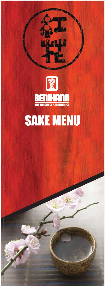

# SAKE MENU

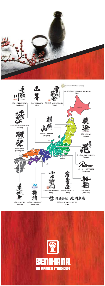



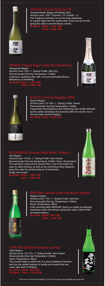

#### DASSAI Junmai Daiginjo 45

*Yamada-Nishiki Region (Polishing 45%) Alcohol Level: 16% // Dryness: +3 // Acidity: 1.3* The Fragrance reminds one of the fruity sweetness of a green apple and the subtle taste of the rice can be felt, giving this sake a smooth flavour overall. *By Bottle: 300ml - 1,100 THB* 

 *720ml - 2,300 THB*

## DASSAI Happo Nigori Sake 50 (Sparkling)

*Yamaguchi Region Alcohol Level: 16% // Tasting Profile: Semi Dry Recommended Serving Temperature: Chilled* A premium sparkling sake with a dry and full-bodied flavour followed by a refreshing

*By Bottle: 360ml - 1,350 THB 720ml - 2,900 THB* 





## BIJOFU Junmai Daiginjo HINA

*Kouchi Region Alcohol Level: 15~16% // Tasting Profile: Sweet Recommended Serving Temperature: Chilled* A gracefully floral fragrance and refreshing citric acidity followed by the subtle sweetness that spreads within the mouth, this is one top class Junmai Daiginjo. *By Bottle: 720ml - 3,500 THB* 

#### KOZAEMON Junmai Ginjo Bizen Omachi

*Gifu Region Alcohol Level: 16.5% // Tasting Profile: Semi Sweet Recommended Serving Temperature: Chilled, Room Temperature* The soft taste unique to the Omachi Rice, one of the finest rice used for sake brewing, as well as the comforting Ginjo fragrance gives this sake the perfect balance of sweetness, acidity and umami.



*By Bottle: 300ml - 1,250 THB 720ml - 2,700 THB*





#### MASUMI Junmai Ginjo Karakuchi Kiippon

*Nagano Region Alcohol Level: 15% // Tasting Profile: Semi Dry Recommended Serving Temperature: Chilled, Room Temperature, Warm* A fan favourite within MASUMI, there is a subtle yet pleasant sweetness within the dryness giving this sake a clean finish and great balance.

*By Bottle: 300ml - 990 THB 720ml - 2,300 THB*

#### YUKI NO BOSHA Yamahai Junmai

*Akita Region Alcohol Level: 16~17% // Tasting Profile: Semi Sweet Recommended Serving Temperature: Chilled, Room Temperature, Warm* The smooth taste is unlike that of a usual traditional Yamahai, and has the perfect balance of acidity and umami that one never gets tired of drinking.

*By Carafe: 180ml - 600 THB By Bottle: 720ml - 2,100 THB* 



Prices are in Thai bath and subject to 10% service charge and applicable government tax.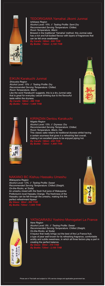

### TEDORIGAWA Yamahai Jikomi Junmai

*Ishikawa Region Alcohol Level: 16% // Tasting Profile: Semi Dry Recommended Serving Temperature: Chilled, Room Temperature, Warm* Brewed in the traditional 'Yamahai' method, this Junmai sake has a rich and full-bodied flavour with layers of fragrances that can be felt once swallowed.

*By Carafe: 180ml - 600 THB By Bottle: 720ml - 2,100 THB* 

### EIKUN Karakuchi Junmai

*Shizuoka Region Alcohol Level: 15% // Tasting Profile: Dry Recommended Serving Temperature: Chilled, Room Temperature, Warm* Like the word 'Karakuchi' suggests, this is a dry Junmai sake that is great for everyday casual drinking due to the flavourful taste within the dryness. *By Carafe: 180ml - 490 THB* 





*By Bottle: 720ml - 1,900 THB* 

#### KIRINZAN Dentou Karakuchi

*Niigata Region Alcohol Level: 15% // Dryness: Dry Recommended Serving Temperature: Chilled, Room Temperature, Warm, Hot* This classic sake retains its traditional dryness whilst having a certain sourness that gives it a refreshing feel overall, making it an excellent piece to be enjoyed piping hot. *By Carafe: 180ml - 450 THB By Bottle: 720ml - 1,800 THB* 



#### NAKANO BC Kishuu Hassaku Umeshu

*Wakayama Region Alcohol Level: 12% // Tasting Profile: Sweet Recommended Serving Temperature: Chilled (Staight, On-the-Rocks, w/ Soda)*

An umeshu mixed with the fresh fruit juice of Wakayama Prefecture's local Hassaku Orange. The freshness of the Hassaku can be felt through the umeshu, making this the perfect refreshment liqueur.

*By Glass: 90ml - 260 THB By Bottle: 720ml - 1,900 THB* 



# 吉野物語 ラ・フランス hin

#### YATAGARASU Yoshino Monogatari La France

*Nara Region Alcohol Level: 9% // Tasting Profile: Sweet Recommended Serving Temperature: Chilled (Staight, On-the-Rocks, w/ Soda)* A liqueur that really brings out the best of the La France fruit, a type of pear well known for its refreshing fragrance, comfortable acidity and subtle sweetness, in which all three factors play a part in

creating the perfect balance. *By Glass: 90ml - 310 THB By Bottle: 720ml - 2,100 THB*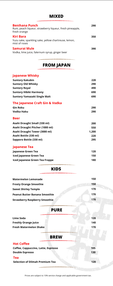## **MIXED**

| <b>Benihana Punch</b><br>Rum, peach liqueur, strawberry liqueur, fresh pineapple,<br>fresh orange | 290 |
|---------------------------------------------------------------------------------------------------|-----|
| Kiri Bara<br>Yuzu sake, sparkling sake, yellow chartreuse, lemon,<br>mist of roses                | 350 |
| Samurai Mule<br>Vodka, lime juice, falernum syrup, ginger beer                                    | 390 |

# **FROM JAPAN**

### **Japanese Whisky**

| <b>Suntory Kakubin</b>              | 220   |
|-------------------------------------|-------|
| <b>Suntory Old Whisky</b>           | 290   |
| <b>Suntory Royal</b>                | 490   |
| <b>Suntory Hibiki Harmony</b>       | 690   |
| <b>Suntory Yamazaki Single Malt</b> | 690   |
| The Japanese Craft Gin & Vodka      |       |
| <b>Gin Roku</b>                     | 290   |
| Vodka Haku                          | 290   |
| <b>Beer</b>                         |       |
| Asahi Draught Small (330 ml)        | 200   |
| Asahi Draught Pitcher (1000 ml)     | 550   |
| Asahi Draught Tower (3000 ml)       | 1,200 |
| Asahi Bottle (330 ml)               | 220   |
| Sapporo Bottle (330 ml)             | 295   |
| Japanese Tea                        |       |
| Japanese Green Tea                  | 120   |
| Iced Japanese Green Tea             | 150   |
| Iced Japanese Green Tea Frappe      | 180   |

**KIDS**

| Watermelon Lemonade                  | 150 |
|--------------------------------------|-----|
| <b>Frosty Orange Smoothie</b>        | 150 |
| <b>Sweet Shirley Temple</b>          | 170 |
| <b>Peanut Butter Banana Smoothie</b> | 170 |
| <b>Strawberry Raspberry Smoothie</b> | 170 |

| ۰. |  |
|----|--|
|----|--|

| Lime Soda                   | 120 |
|-----------------------------|-----|
| <b>Freshly Orange Juice</b> | 140 |
| Fresh Watermelon Shake      | 170 |
|                             |     |

### **BREW**

| <b>Hot Coffee</b>                   |     |
|-------------------------------------|-----|
| Coffee, Cappuccino, Latte, Espresso | 105 |
| <b>Double Espresso</b>              | 130 |
| <b>Tea</b>                          |     |
| Selection of Dilmah Premium Tea     | 120 |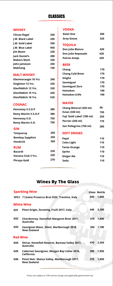## **CLASSICS**

#### **WHISKY**

| <b>Chivas Regal</b>         | 250 |
|-----------------------------|-----|
| J.W. Black Label            | 250 |
| J.W. Gold Label             | 350 |
| J.W. Blue Label             | 950 |
| <b>Jim Beam</b>             | 220 |
| <b>Jack Daniel's</b>        | 280 |
| <b>Makers Mark</b>          | 320 |
| John Jameson                | 250 |
| <b>Mekhong</b>              | 150 |
| <b>MALT WHISKY</b>          |     |
| <b>Glenmorangie 10 Yrs.</b> | 290 |
| Singleton 12 Yrs.           | 320 |
| Glenfiddich 12 Yrs.         | 320 |
| <b>Glenfiddich 15 Yrs.</b>  | 420 |
| <b>Glenfiddich 18 Yrs.</b>  | 520 |
| <b>COGNAC</b>               |     |
| <b>Hennessy V.S.O.P</b>     | 380 |
| <b>Remy Martin V.S.O.P</b>  | 380 |
| Hennessy X.O.               | 750 |
| <b>Remy Martin X.O.</b>     | 750 |
| <b>GIN</b>                  |     |
| <b>Tanqueray</b>            | 250 |
| <b>Bombay Sapphire</b>      | 250 |
| <b>Hendrick</b>             | 350 |
| <b>RUM</b>                  |     |
| <b>Bacardi</b>              | 220 |
| Havana Club 3 Yrs.          | 220 |
| <b>Phraya Gold</b>          | 270 |
|                             |     |

#### **VODKA**

| Ketel One              | 290 |
|------------------------|-----|
| <b>Grey Goose</b>      | 320 |
| <b>TEQUILA</b>         |     |
| Don Julio Blanco       | 420 |
| Don Julio Reposado     | 420 |
| <b>Patron Anejo</b>    | 420 |
| <b>BEER</b>            |     |
| Chang                  | 170 |
| <b>Chang Cold Brew</b> | 170 |
| Singha                 | 170 |
| Sanmiguel              | 170 |
| Sanmiguel Zero         | 170 |
| Heineken               | 190 |
| Heineken 0.0%          | 190 |
|                        |     |

#### **WATER**

| Chang Mineral (350 ml)     | 90  |
|----------------------------|-----|
| Evian (330 ml)             | 150 |
| Fuji 'Gold Label' (780 ml) | 250 |
| Perrier (250 ml)           | 170 |
| San Pellegrino (750 ml)    | 280 |

#### **SOFT DRINKS**

| Pepsi             | 110 |
|-------------------|-----|
| <b>Coke Light</b> | 110 |
| Fanta Orange      | 110 |
| Sprite            | 110 |
| <b>Ginger Ale</b> | 110 |
| Soda              | 110 |
|                   |     |

# **Wines By The Glass**

|                 | <b>Sparkling Wine</b>                                               |     | Glass Bottle |
|-----------------|---------------------------------------------------------------------|-----|--------------|
|                 | SPG1 7 Casine Prosecco Brut DOC, Trentino, Italy                    | 340 | 1,600        |
|                 | <b>White Wine</b>                                                   |     |              |
| G01             | Pinot Grigio, Zorzettig, Fruili 2017, Italy                         | 440 | 2,200        |
| G <sub>02</sub> | Chardonnay, Stonefish Margaret River 2017,<br><b>Australia</b>      | 370 | 1,800        |
| G03             | Sauvignon Blanc, Sileni, Marlborough 2018,<br><b>New Zealand</b>    | 350 | 1,700        |
| <b>Red Wine</b> |                                                                     |     |              |
| G04             | Shiraz, Stonefish Reserve, Barossa Valley 2017,<br><b>Australia</b> | 470 | 2,350        |
| G05             | Cabernet Sauvignon, Morgan Bay Cellar 2016,<br>California           | 390 | 1,950        |
| G06             | Pinot Noir, Matua Valley, Marlborough 2017,<br>New Zealand          | 370 | 1,850        |